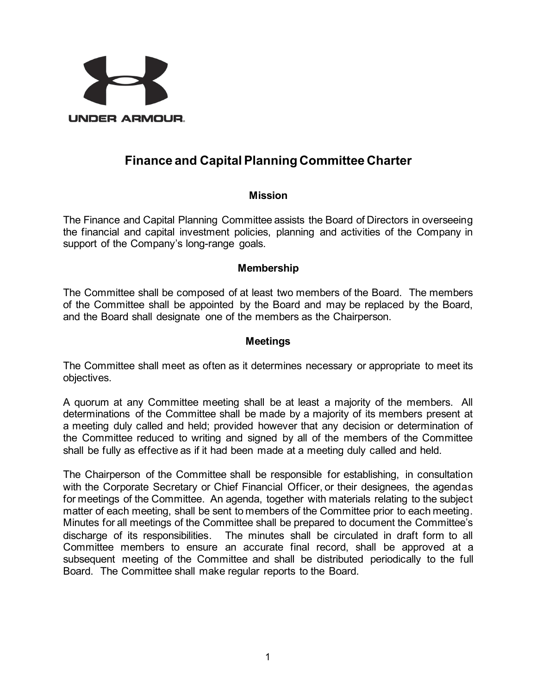

# **Finance and Capital Planning Committee Charter**

### **Mission**

The Finance and Capital Planning Committee assists the Board of Directors in overseeing the financial and capital investment policies, planning and activities of the Company in support of the Company's long-range goals.

#### **Membership**

The Committee shall be composed of at least two members of the Board. The members of the Committee shall be appointed by the Board and may be replaced by the Board, and the Board shall designate one of the members as the Chairperson.

#### **Meetings**

The Committee shall meet as often as it determines necessary or appropriate to meet its objectives.

A quorum at any Committee meeting shall be at least a majority of the members. All determinations of the Committee shall be made by a majority of its members present at a meeting duly called and held; provided however that any decision or determination of the Committee reduced to writing and signed by all of the members of the Committee shall be fully as effective as if it had been made at a meeting duly called and held.

The Chairperson of the Committee shall be responsible for establishing, in consultation with the Corporate Secretary or Chief Financial Officer, or their designees, the agendas for meetings of the Committee. An agenda, together with materials relating to the subject matter of each meeting, shall be sent to members of the Committee prior to each meeting. Minutes for all meetings of the Committee shall be prepared to document the Committee's discharge of its responsibilities. The minutes shall be circulated in draft form to all Committee members to ensure an accurate final record, shall be approved at a subsequent meeting of the Committee and shall be distributed periodically to the full Board. The Committee shall make regular reports to the Board.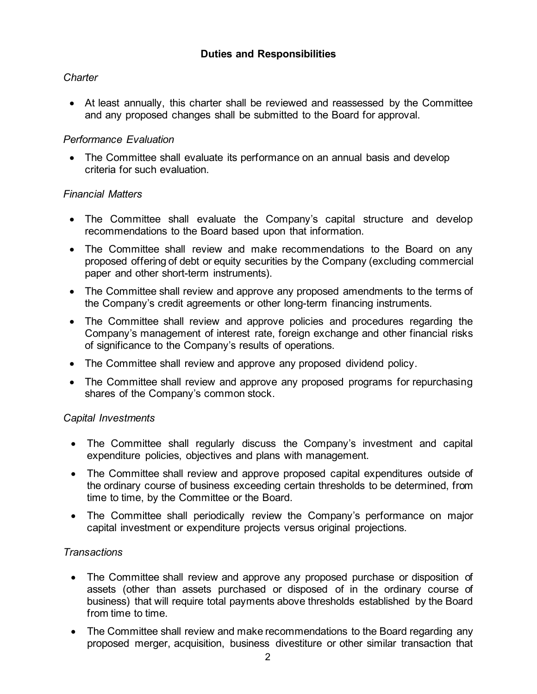# *Charter*

• At least annually, this charter shall be reviewed and reassessed by the Committee and any proposed changes shall be submitted to the Board for approval.

# *Performance Evaluation*

• The Committee shall evaluate its performance on an annual basis and develop criteria for such evaluation.

## *Financial Matters*

- The Committee shall evaluate the Company's capital structure and develop recommendations to the Board based upon that information.
- The Committee shall review and make recommendations to the Board on any proposed offering of debt or equity securities by the Company (excluding commercial paper and other short-term instruments).
- The Committee shall review and approve any proposed amendments to the terms of the Company's credit agreements or other long-term financing instruments.
- The Committee shall review and approve policies and procedures regarding the Company's management of interest rate, foreign exchange and other financial risks of significance to the Company's results of operations.
- The Committee shall review and approve any proposed dividend policy.
- The Committee shall review and approve any proposed programs for repurchasing shares of the Company's common stock.

## *Capital Investments*

- The Committee shall regularly discuss the Company's investment and capital expenditure policies, objectives and plans with management.
- The Committee shall review and approve proposed capital expenditures outside of the ordinary course of business exceeding certain thresholds to be determined, from time to time, by the Committee or the Board.
- The Committee shall periodically review the Company's performance on major capital investment or expenditure projects versus original projections.

## *Transactions*

- The Committee shall review and approve any proposed purchase or disposition of assets (other than assets purchased or disposed of in the ordinary course of business) that will require total payments above thresholds established by the Board from time to time.
- The Committee shall review and make recommendations to the Board regarding any proposed merger, acquisition, business divestiture or other similar transaction that